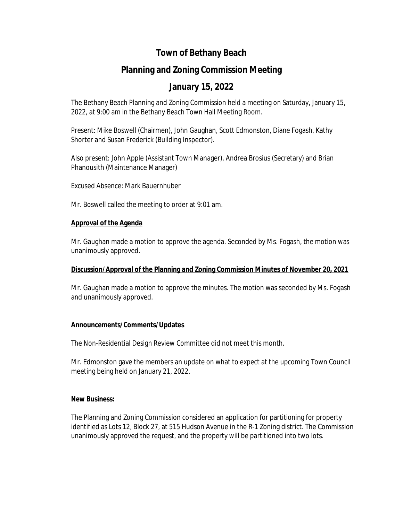## **Town of Bethany Beach**

# **Planning and Zoning Commission Meeting**

## **January 15, 2022**

The Bethany Beach Planning and Zoning Commission held a meeting on Saturday, January 15, 2022, at 9:00 am in the Bethany Beach Town Hall Meeting Room.

Present: Mike Boswell (Chairmen), John Gaughan, Scott Edmonston, Diane Fogash, Kathy Shorter and Susan Frederick (Building Inspector).

Also present: John Apple (Assistant Town Manager), Andrea Brosius (Secretary) and Brian Phanousith (Maintenance Manager)

Excused Absence: Mark Bauernhuber

Mr. Boswell called the meeting to order at 9:01 am.

#### **Approval of the Agenda**

Mr. Gaughan made a motion to approve the agenda. Seconded by Ms. Fogash, the motion was unanimously approved.

### **Discussion/Approval of the Planning and Zoning Commission Minutes of November 20, 2021**

Mr. Gaughan made a motion to approve the minutes. The motion was seconded by Ms. Fogash and unanimously approved.

#### **Announcements/Comments/Updates**

The Non-Residential Design Review Committee did not meet this month.

Mr. Edmonston gave the members an update on what to expect at the upcoming Town Council meeting being held on January 21, 2022.

### **New Business:**

The Planning and Zoning Commission considered an application for partitioning for property identified as Lots 12, Block 27, at 515 Hudson Avenue in the R-1 Zoning district. The Commission unanimously approved the request, and the property will be partitioned into two lots.